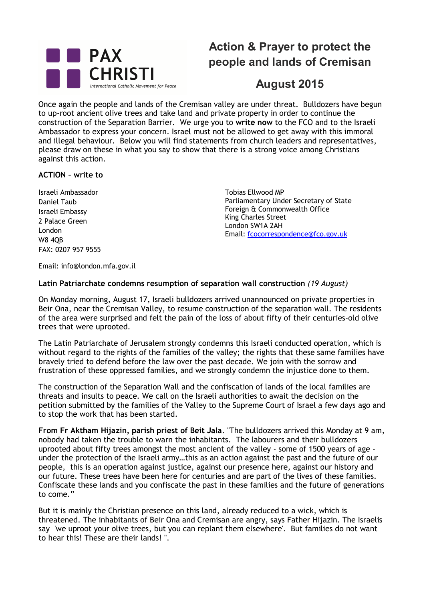

# **Action & Prayer to protect the people and lands of Cremisan**

# **August 2015**

Once again the people and lands of the Cremisan valley are under threat. Bulldozers have begun to up-root ancient olive trees and take land and private property in order to continue the construction of the Separation Barrier. We urge you to **write now** to the FCO and to the Israeli Ambassador to express your concern. Israel must not be allowed to get away with this immoral and illegal behaviour. Below you will find statements from church leaders and representatives, please draw on these in what you say to show that there is a strong voice among Christians against this action.

## **ACTION – write to**

Israeli Ambassador Daniel Taub Israeli Embassy 2 Palace Green London W8 4QB FAX: 0207 957 9555

Tobias Ellwood MP Parliamentary Under Secretary of State Foreign & Commonwealth Office King Charles Street London SW1A 2AH Email: fcocorrespondence@fco.gov.uk

Email: info@london.mfa.gov.il

# **Latin Patriarchate condemns resumption of separation wall construction** *(19 August)*

On Monday morning, August 17, Israeli bulldozers arrived unannounced on private properties in Beir Ona, near the Cremisan Valley, to resume construction of the separation wall. The residents of the area were surprised and felt the pain of the loss of about fifty of their centuries-old olive trees that were uprooted.

The Latin Patriarchate of Jerusalem strongly condemns this Israeli conducted operation, which is without regard to the rights of the families of the valley; the rights that these same families have bravely tried to defend before the law over the past decade. We join with the sorrow and frustration of these oppressed families, and we strongly condemn the injustice done to them.

The construction of the Separation Wall and the confiscation of lands of the local families are threats and insults to peace. We call on the Israeli authorities to await the decision on the petition submitted by the families of the Valley to the Supreme Court of Israel a few days ago and to stop the work that has been started.

**From Fr Aktham Hijazin, parish priest of Beit Jala**. "The bulldozers arrived this Monday at 9 am, nobody had taken the trouble to warn the inhabitants. The labourers and their bulldozers uprooted about fifty trees amongst the most ancient of the valley - some of 1500 years of age under the protection of the Israeli army…this as an action against the past and the future of our people, this is an operation against justice, against our presence here, against our history and our future. These trees have been here for centuries and are part of the lives of these families. Confiscate these lands and you confiscate the past in these families and the future of generations to come."

But it is mainly the Christian presence on this land, already reduced to a wick, which is threatened. The inhabitants of Beir Ona and Cremisan are angry, says Father Hijazin. The Israelis say 'we uproot your olive trees, but you can replant them elsewhere'. But families do not want to hear this! These are their lands! ".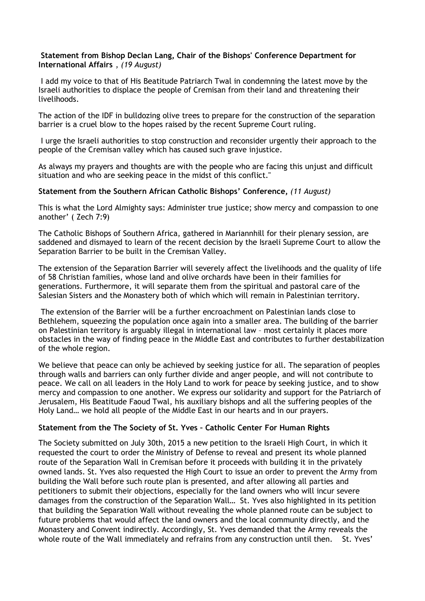### **Statement from Bishop Declan Lang, Chair of the Bishops' Conference Department for International Affairs** , *(19 August)*

I add my voice to that of His Beatitude Patriarch Twal in condemning the latest move by the Israeli authorities to displace the people of Cremisan from their land and threatening their livelihoods.

The action of the IDF in bulldozing olive trees to prepare for the construction of the separation barrier is a cruel blow to the hopes raised by the recent Supreme Court ruling.

I urge the Israeli authorities to stop construction and reconsider urgently their approach to the people of the Cremisan valley which has caused such grave injustice.

As always my prayers and thoughts are with the people who are facing this unjust and difficult situation and who are seeking peace in the midst of this conflict."

#### **Statement from the Southern African Catholic Bishops' Conference,** *(11 August)*

This is what the Lord Almighty says: Administer true justice; show mercy and compassion to one another' ( Zech 7:9)

The Catholic Bishops of Southern Africa, gathered in Mariannhill for their plenary session, are saddened and dismayed to learn of the recent decision by the Israeli Supreme Court to allow the Separation Barrier to be built in the Cremisan Valley.

The extension of the Separation Barrier will severely affect the livelihoods and the quality of life of 58 Christian families, whose land and olive orchards have been in their families for generations. Furthermore, it will separate them from the spiritual and pastoral care of the Salesian Sisters and the Monastery both of which which will remain in Palestinian territory.

The extension of the Barrier will be a further encroachment on Palestinian lands close to Bethlehem, squeezing the population once again into a smaller area. The building of the barrier on Palestinian territory is arguably illegal in international law – most certainly it places more obstacles in the way of finding peace in the Middle East and contributes to further destabilization of the whole region.

We believe that peace can only be achieved by seeking justice for all. The separation of peoples through walls and barriers can only further divide and anger people, and will not contribute to peace. We call on all leaders in the Holy Land to work for peace by seeking justice, and to show mercy and compassion to one another. We express our solidarity and support for the Patriarch of Jerusalem, His Beatitude Faoud Twal, his auxiliary bishops and all the suffering peoples of the Holy Land… we hold all people of the Middle East in our hearts and in our prayers.

### **Statement from the The Society of St. Yves – Catholic Center For Human Rights**

The Society submitted on July 30th, 2015 a new petition to the Israeli High Court, in which it requested the court to order the Ministry of Defense to reveal and present its whole planned route of the Separation Wall in Cremisan before it proceeds with building it in the privately owned lands. St. Yves also requested the High Court to issue an order to prevent the Army from building the Wall before such route plan is presented, and after allowing all parties and petitioners to submit their objections, especially for the land owners who will incur severe damages from the construction of the Separation Wall… St. Yves also highlighted in its petition that building the Separation Wall without revealing the whole planned route can be subject to future problems that would affect the land owners and the local community directly, and the Monastery and Convent indirectly. Accordingly, St. Yves demanded that the Army reveals the whole route of the Wall immediately and refrains from any construction until then. St. Yves'